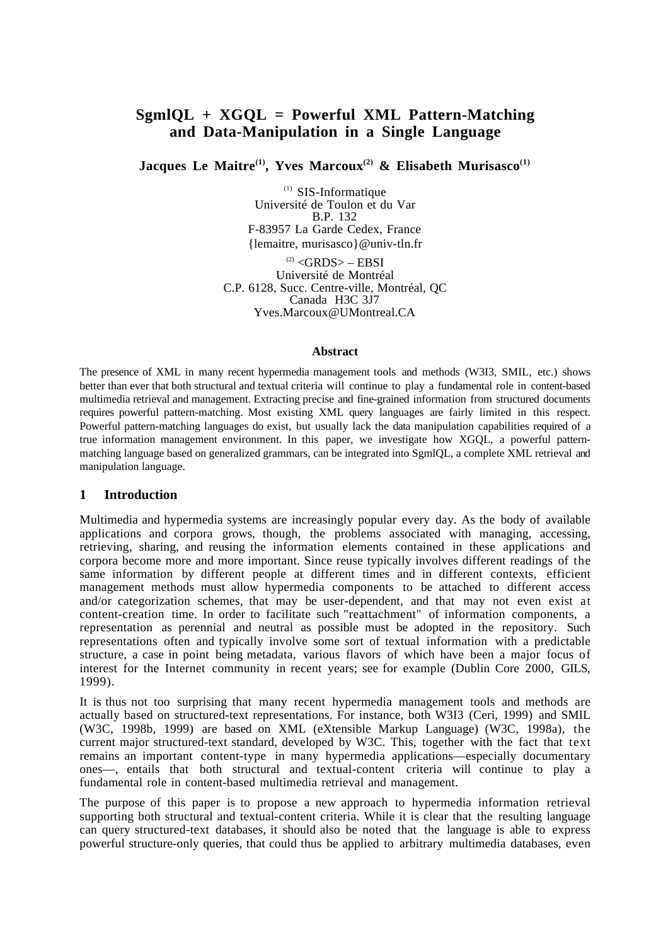# **SgmlQL + XGQL = Powerful XML Pattern-Matching and Data-Manipulation in a Single Language**

Jacques Le Maitre<sup>(1)</sup>, Yves Marcoux<sup>(2)</sup> & Elisabeth Murisasco<sup>(1)</sup>

 $(1)$  SIS-Informatique Université de Toulon et du Var B.P. 132 F-83957 La Garde Cedex, France {lemaitre, murisasco}@univ-tln.fr

 $^{(2)}$  <GRDS > – EBSI Université de Montréal C.P. 6128, Succ. Centre-ville, Montréal, QC Canada H3C 3J7 Yves.Marcoux@UMontreal.CA

#### **Abstract**

The presence of XML in many recent hypermedia management tools and methods (W3I3, SMIL, etc.) shows better than ever that both structural and textual criteria will continue to play a fundamental role in content-based multimedia retrieval and management. Extracting precise and fine-grained information from structured documents requires powerful pattern-matching. Most existing XML query languages are fairly limited in this respect. Powerful pattern-matching languages do exist, but usually lack the data manipulation capabilities required of a true information management environment. In this paper, we investigate how XGQL, a powerful patternmatching language based on generalized grammars, can be integrated into SgmlQL, a complete XML retrieval and manipulation language.

### **1 Introduction**

Multimedia and hypermedia systems are increasingly popular every day. As the body of available applications and corpora grows, though, the problems associated with managing, accessing, retrieving, sharing, and reusing the information elements contained in these applications and corpora become more and more important. Since reuse typically involves different readings of the same information by different people at different times and in different contexts, efficient management methods must allow hypermedia components to be attached to different access and/or categorization schemes, that may be user-dependent, and that may not even exist at content-creation time. In order to facilitate such "reattachment" of information components, a representation as perennial and neutral as possible must be adopted in the repository. Such representations often and typically involve some sort of textual information with a predictable structure, a case in point being metadata, various flavors of which have been a major focus of interest for the Internet community in recent years; see for example (Dublin Core 2000, GILS, 1999).

It is thus not too surprising that many recent hypermedia management tools and methods are actually based on structured-text representations. For instance, both W3I3 (Ceri, 1999) and SMIL (W3C, 1998b, 1999) are based on XML (eXtensible Markup Language) (W3C, 1998a), the current major structured-text standard, developed by W3C. This, together with the fact that text remains an important content-type in many hypermedia applications—especially documentary ones—, entails that both structural and textual-content criteria will continue to play a fundamental role in content-based multimedia retrieval and management.

The purpose of this paper is to propose a new approach to hypermedia information retrieval supporting both structural and textual-content criteria. While it is clear that the resulting language can query structured-text databases, it should also be noted that the language is able to express powerful structure-only queries, that could thus be applied to arbitrary multimedia databases, even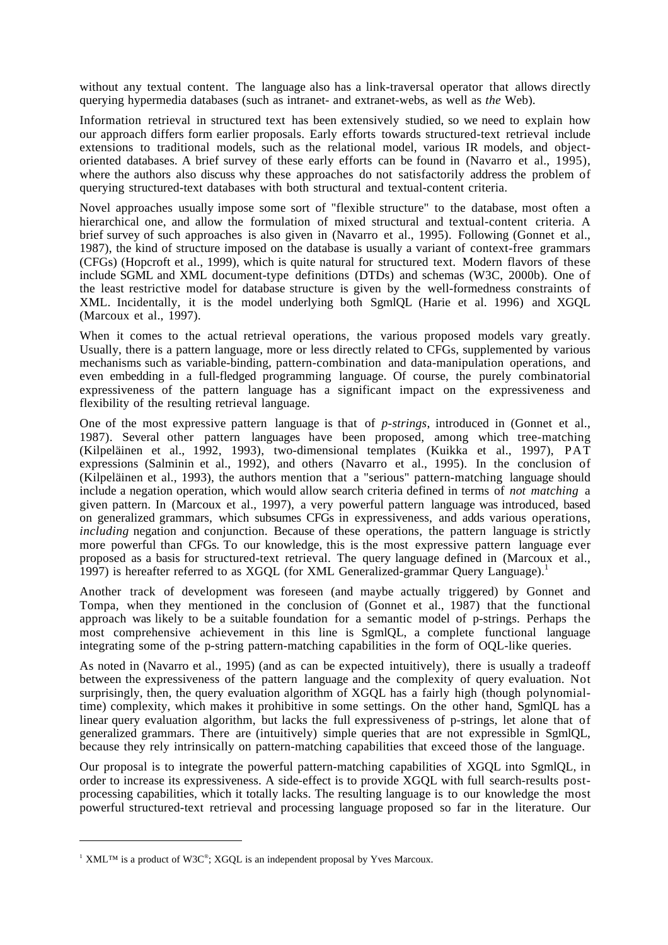without any textual content. The language also has a link-traversal operator that allows directly querying hypermedia databases (such as intranet- and extranet-webs, as well as *the* Web).

Information retrieval in structured text has been extensively studied, so we need to explain how our approach differs form earlier proposals. Early efforts towards structured-text retrieval include extensions to traditional models, such as the relational model, various IR models, and objectoriented databases. A brief survey of these early efforts can be found in (Navarro et al., 1995), where the authors also discuss why these approaches do not satisfactorily address the problem of querying structured-text databases with both structural and textual-content criteria.

Novel approaches usually impose some sort of "flexible structure" to the database, most often a hierarchical one, and allow the formulation of mixed structural and textual-content criteria. A brief survey of such approaches is also given in (Navarro et al., 1995). Following (Gonnet et al., 1987), the kind of structure imposed on the database is usually a variant of context-free grammars (CFGs) (Hopcroft et al., 1999), which is quite natural for structured text. Modern flavors of these include SGML and XML document-type definitions (DTDs) and schemas (W3C, 2000b). One of the least restrictive model for database structure is given by the well-formedness constraints of XML. Incidentally, it is the model underlying both SgmlQL (Harie et al. 1996) and XGQL (Marcoux et al., 1997).

When it comes to the actual retrieval operations, the various proposed models vary greatly. Usually, there is a pattern language, more or less directly related to CFGs, supplemented by various mechanisms such as variable-binding, pattern-combination and data-manipulation operations, and even embedding in a full-fledged programming language. Of course, the purely combinatorial expressiveness of the pattern language has a significant impact on the expressiveness and flexibility of the resulting retrieval language.

One of the most expressive pattern language is that of *p-strings*, introduced in (Gonnet et al., 1987). Several other pattern languages have been proposed, among which tree-matching (Kilpeläinen et al., 1992, 1993), two-dimensional templates (Kuikka et al., 1997), PAT expressions (Salminin et al., 1992), and others (Navarro et al., 1995). In the conclusion of (Kilpeläinen et al., 1993), the authors mention that a "serious" pattern-matching language should include a negation operation, which would allow search criteria defined in terms of *not matching* a given pattern. In (Marcoux et al., 1997), a very powerful pattern language was introduced, based on generalized grammars, which subsumes CFGs in expressiveness, and adds various operations, *including* negation and conjunction. Because of these operations, the pattern language is strictly more powerful than CFGs. To our knowledge, this is the most expressive pattern language ever proposed as a basis for structured-text retrieval. The query language defined in (Marcoux et al., 1997) is hereafter referred to as XGOL (for XML Generalized-grammar Ouery Language).<sup>1</sup>

Another track of development was foreseen (and maybe actually triggered) by Gonnet and Tompa, when they mentioned in the conclusion of (Gonnet et al., 1987) that the functional approach was likely to be a suitable foundation for a semantic model of p-strings. Perhaps the most comprehensive achievement in this line is SgmlQL, a complete functional language integrating some of the p-string pattern-matching capabilities in the form of OQL-like queries.

As noted in (Navarro et al., 1995) (and as can be expected intuitively), there is usually a tradeoff between the expressiveness of the pattern language and the complexity of query evaluation. Not surprisingly, then, the query evaluation algorithm of XGQL has a fairly high (though polynomialtime) complexity, which makes it prohibitive in some settings. On the other hand, SgmlQL has a linear query evaluation algorithm, but lacks the full expressiveness of p-strings, let alone that of generalized grammars. There are (intuitively) simple queries that are not expressible in SgmlQL, because they rely intrinsically on pattern-matching capabilities that exceed those of the language.

Our proposal is to integrate the powerful pattern-matching capabilities of XGQL into SgmlQL, in order to increase its expressiveness. A side-effect is to provide XGQL with full search-results postprocessing capabilities, which it totally lacks. The resulting language is to our knowledge the most powerful structured-text retrieval and processing language proposed so far in the literature. Our

 $\overline{a}$ 

 $1$  XML<sup>TM</sup> is a product of W3C®; XGQL is an independent proposal by Yves Marcoux.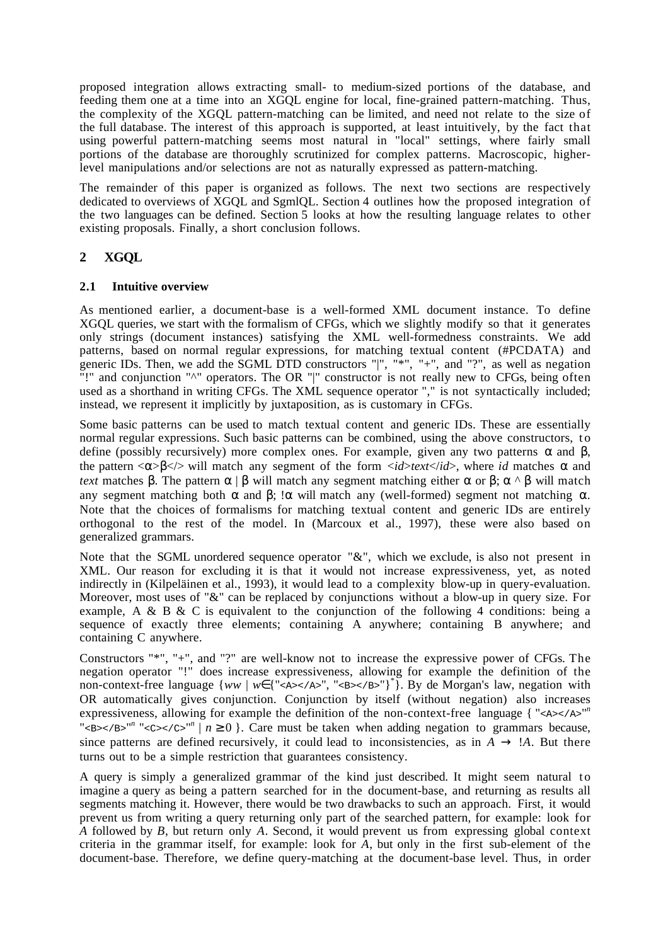proposed integration allows extracting small- to medium-sized portions of the database, and feeding them one at a time into an XGQL engine for local, fine-grained pattern-matching. Thus, the complexity of the XGQL pattern-matching can be limited, and need not relate to the size of the full database. The interest of this approach is supported, at least intuitively, by the fact that using powerful pattern-matching seems most natural in "local" settings, where fairly small portions of the database are thoroughly scrutinized for complex patterns. Macroscopic, higherlevel manipulations and/or selections are not as naturally expressed as pattern-matching.

The remainder of this paper is organized as follows. The next two sections are respectively dedicated to overviews of XGQL and SgmlQL. Section 4 outlines how the proposed integration of the two languages can be defined. Section 5 looks at how the resulting language relates to other existing proposals. Finally, a short conclusion follows.

# **2 XGQL**

## **2.1 Intuitive overview**

As mentioned earlier, a document-base is a well-formed XML document instance. To define XGQL queries, we start with the formalism of CFGs, which we slightly modify so that it generates only strings (document instances) satisfying the XML well-formedness constraints. We add patterns, based on normal regular expressions, for matching textual content (#PCDATA) and generic IDs. Then, we add the SGML DTD constructors "|", "\*", "+", and "?", as well as negation "!" and conjunction "^" operators. The OR "|" constructor is not really new to CFGs, being often used as a shorthand in writing CFGs. The XML sequence operator "," is not syntactically included; instead, we represent it implicitly by juxtaposition, as is customary in CFGs.

Some basic patterns can be used to match textual content and generic IDs. These are essentially normal regular expressions. Such basic patterns can be combined, using the above constructors, to define (possibly recursively) more complex ones. For example, given any two patterns  $\alpha$  and  $\beta$ , the pattern  $\langle \alpha \rangle$   $\langle \beta \rangle$  will match any segment of the form  $\langle id \rangle$  *text* $\langle id \rangle$ , where *id* matches  $\alpha$  and *text* matches β. The pattern  $\alpha \mid \beta$  will match any segment matching either  $\alpha$  or  $\beta$ ;  $\alpha \land \beta$  will match any segment matching both α and β; !α will match any (well-formed) segment not matching  $α$ . Note that the choices of formalisms for matching textual content and generic IDs are entirely orthogonal to the rest of the model. In (Marcoux et al., 1997), these were also based on generalized grammars.

Note that the SGML unordered sequence operator "&", which we exclude, is also not present in XML. Our reason for excluding it is that it would not increase expressiveness, yet, as noted indirectly in (Kilpeläinen et al., 1993), it would lead to a complexity blow-up in query-evaluation. Moreover, most uses of "&" can be replaced by conjunctions without a blow-up in query size. For example, A & B & C is equivalent to the conjunction of the following 4 conditions: being a sequence of exactly three elements; containing A anywhere; containing B anywhere; and containing C anywhere.

Constructors "\*", "+", and "?" are well-know not to increase the expressive power of CFGs. The negation operator "!" does increase expressiveness, allowing for example the definition of the non-context-free language {*ww* | *w*∈{"<A></A>", "<B></B>"}<sup>\*</sup>}. By de Morgan's law, negation with OR automatically gives conjunction. Conjunction by itself (without negation) also increases expressiveness, allowing for example the definition of the non-context-free language { "<A></A>" "<B></B>"<sup>n</sup> "<C></C>"<sup>n</sup> |  $n \ge 0$  }. Care must be taken when adding negation to grammars because, since patterns are defined recursively, it could lead to inconsistencies, as in  $A \rightarrow 'A$ . But there turns out to be a simple restriction that guarantees consistency.

A query is simply a generalized grammar of the kind just described. It might seem natural to imagine a query as being a pattern searched for in the document-base, and returning as results all segments matching it. However, there would be two drawbacks to such an approach. First, it would prevent us from writing a query returning only part of the searched pattern, for example: look for *A* followed by *B*, but return only *A*. Second, it would prevent us from expressing global context criteria in the grammar itself, for example: look for  $\hat{A}$ , but only in the first sub-element of the document-base. Therefore, we define query-matching at the document-base level. Thus, in order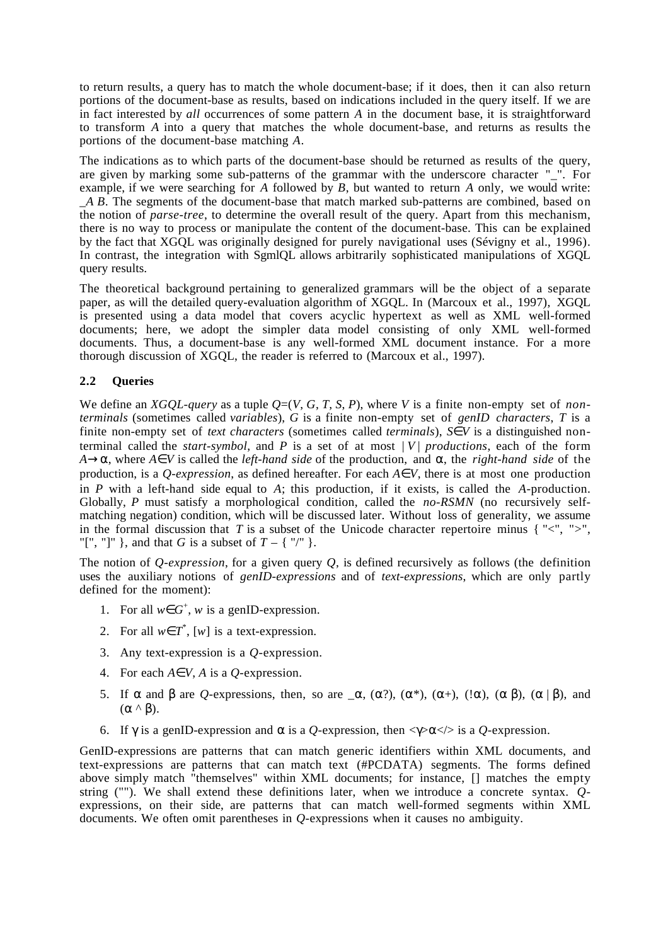to return results, a query has to match the whole document-base; if it does, then it can also return portions of the document-base as results, based on indications included in the query itself. If we are in fact interested by *all* occurrences of some pattern *A* in the document base, it is straightforward to transform *A* into a query that matches the whole document-base, and returns as results the portions of the document-base matching *A*.

The indications as to which parts of the document-base should be returned as results of the query, are given by marking some sub-patterns of the grammar with the underscore character "\_". For example, if we were searching for *A* followed by *B*, but wanted to return *A* only, we would write: \_*A B*. The segments of the document-base that match marked sub-patterns are combined, based on the notion of *parse-tree*, to determine the overall result of the query. Apart from this mechanism, there is no way to process or manipulate the content of the document-base. This can be explained by the fact that XGQL was originally designed for purely navigational uses (Sévigny et al., 1996). In contrast, the integration with SgmlQL allows arbitrarily sophisticated manipulations of XGQL query results.

The theoretical background pertaining to generalized grammars will be the object of a separate paper, as will the detailed query-evaluation algorithm of XGQL. In (Marcoux et al., 1997), XGQL is presented using a data model that covers acyclic hypertext as well as XML well-formed documents; here, we adopt the simpler data model consisting of only XML well-formed documents. Thus, a document-base is any well-formed XML document instance. For a more thorough discussion of XGQL, the reader is referred to (Marcoux et al., 1997).

# **2.2 Queries**

We define an *XGQL-query* as a tuple  $Q=(V, G, T, S, P)$ , where *V* is a finite non-empty set of *nonterminals* (sometimes called *variables*), *G* is a finite non-empty set of *genID characters*, *T* is a finite non-empty set of *text characters* (sometimes called *terminals*),  $S \in V$  is a distinguished nonterminal called the *start-symbol*, and  $P$  is a set of at most  $|V|$  *productions*, each of the form *A*→α, where *A*∈*V* is called the *left-hand side* of the production, and α, the *right-hand side* of the production, is a *Q-expression*, as defined hereafter. For each  $A \in V$ , there is at most one production in *P* with a left-hand side equal to *A*; this production, if it exists, is called the *A*-production. Globally, *P* must satisfy a morphological condition, called the *no-RSMN* (no recursively selfmatching negation) condition, which will be discussed later. Without loss of generality, we assume in the formal discussion that  $T$  is a subset of the Unicode character repertoire minus { $\leq$ ,  $\leq$ ,  $\leq$ , "[", "]" }, and that *G* is a subset of  $T - \{$  "/" }.

The notion of *Q-expression*, for a given query *Q*, is defined recursively as follows (the definition uses the auxiliary notions of *genID-expressions* and of *text-expressions*, which are only partly defined for the moment):

- 1. For all  $w \in G^+$ , *w* is a genID-expression.
- 2. For all  $w \in T^*$ , [*w*] is a text-expression.
- 3. Any text-expression is a *Q-*expression.
- 4. For each *A*∈*V*, *A* is a *Q-*expression.
- 5. If α and β are *Q*-expressions, then, so are  $\alpha$ , (α?), (α\*), (α+), (!α), (α β), (α | β), and (α ^ β).
- 6. If  $\gamma$  is a genID-expression and  $\alpha$  is a *Q*-expression, then  $\langle \gamma \rangle \alpha \langle \rangle$  is a *Q*-expression.

GenID-expressions are patterns that can match generic identifiers within XML documents, and text-expressions are patterns that can match text (#PCDATA) segments. The forms defined above simply match "themselves" within XML documents; for instance, [] matches the empty string (""). We shall extend these definitions later, when we introduce a concrete syntax. *Q*expressions, on their side, are patterns that can match well-formed segments within XML documents. We often omit parentheses in *Q-*expressions when it causes no ambiguity.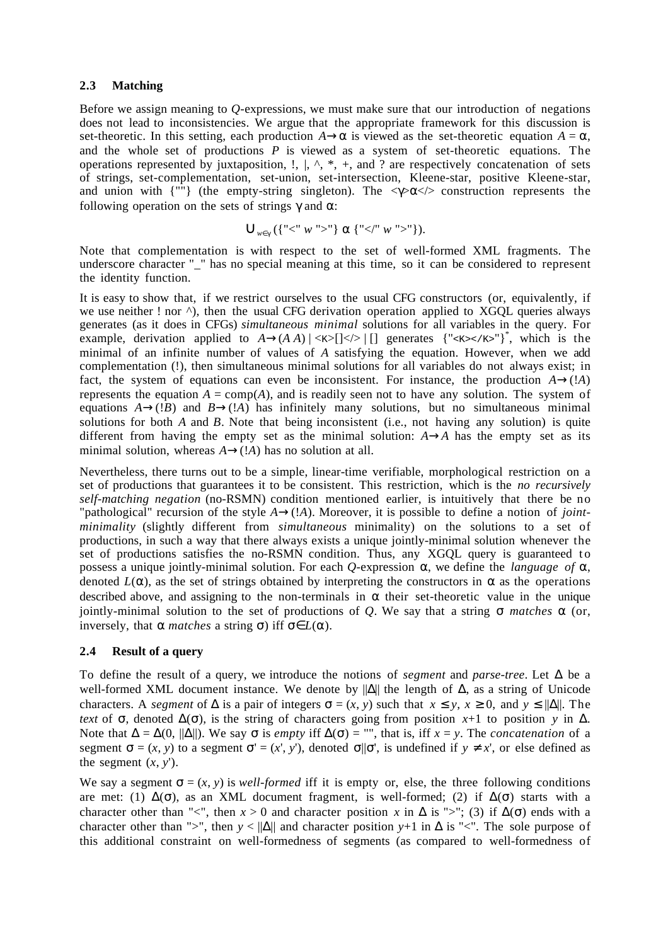## **2.3 Matching**

Before we assign meaning to *Q-*expressions, we must make sure that our introduction of negations does not lead to inconsistencies. We argue that the appropriate framework for this discussion is set-theoretic. In this setting, each production  $A \rightarrow \alpha$  is viewed as the set-theoretic equation  $A = \alpha$ , and the whole set of productions *P* is viewed as a system of set-theoretic equations. The operations represented by juxtaposition,  $!, |, \wedge, *, +$ , and ? are respectively concatenation of sets of strings, set-complementation, set-union, set-intersection, Kleene-star, positive Kleene-star, and union with  $\{m\}$  (the empty-string singleton). The  $\langle\gamma\rangle\propto\langle\langle\rangle$  construction represents the following operation on the sets of strings  $\gamma$  and  $\alpha$ :

$$
\bigcup\nolimits_{w \in \gamma} (\{ "<" w ">" \} \alpha \{ "<" w ">" \}).
$$

Note that complementation is with respect to the set of well-formed XML fragments. The underscore character "\_" has no special meaning at this time, so it can be considered to represent the identity function.

It is easy to show that, if we restrict ourselves to the usual CFG constructors (or, equivalently, if we use neither ! nor  $\land$ ), then the usual CFG derivation operation applied to XGOL queries always generates (as it does in CFGs) *simultaneous minimal* solutions for all variables in the query. For example, derivation applied to  $A \rightarrow (A \ A) \mid \langle K \rangle$  [] generates {" $\langle K \rangle \langle K \rangle$ "}", which is the minimal of an infinite number of values of *A* satisfying the equation. However, when we add complementation (!), then simultaneous minimal solutions for all variables do not always exist; in fact, the system of equations can even be inconsistent. For instance, the production  $A \rightarrow (A)$ represents the equation  $A = \text{comp}(A)$ , and is readily seen not to have any solution. The system of equations  $A \rightarrow (B)$  and  $B \rightarrow (A)$  has infinitely many solutions, but no simultaneous minimal solutions for both *A* and *B*. Note that being inconsistent (i.e., not having any solution) is quite different from having the empty set as the minimal solution:  $A \rightarrow A$  has the empty set as its minimal solution, whereas  $A \rightarrow (A)$  has no solution at all.

Nevertheless, there turns out to be a simple, linear-time verifiable, morphological restriction on a set of productions that guarantees it to be consistent. This restriction, which is the *no recursively self-matching negation* (no-RSMN) condition mentioned earlier, is intuitively that there be no "pathological" recursion of the style *A*→(!*A*). Moreover, it is possible to define a notion of *jointminimality* (slightly different from *simultaneous* minimality) on the solutions to a set of productions, in such a way that there always exists a unique jointly-minimal solution whenever the set of productions satisfies the no-RSMN condition. Thus, any XGQL query is guaranteed to possess a unique jointly-minimal solution. For each *Q*-expression α, we define the *language of* α, denoted  $L(\alpha)$ , as the set of strings obtained by interpreting the constructors in  $\alpha$  as the operations described above, and assigning to the non-terminals in  $\alpha$  their set-theoretic value in the unique jointly-minimal solution to the set of productions of *Q*. We say that a string σ *matches* α (or, inversely, that α *matches* a string σ) iff σ∈*L*(α).

## **2.4 Result of a query**

To define the result of a query, we introduce the notions of *segment* and *parse-tree*. Let ∆ be a well-formed XML document instance. We denote by ||Δ|| the length of Δ, as a string of Unicode characters. A *segment* of  $\Delta$  is a pair of integers  $\sigma = (x, y)$  such that  $x \le y$ ,  $x \ge 0$ , and  $y \le ||\Delta||$ . The *text* of  $\sigma$ , denoted  $\Delta(\sigma)$ , is the string of characters going from position *x*+1 to position *y* in  $\Delta$ . Note that  $\Delta = \Delta(0, ||\Delta||)$ . We say σ is *empty* if  $\Delta(\sigma) =$  "", that is, iff  $x = y$ . The *concatenation* of a segment  $\sigma = (x, y)$  to a segment  $\sigma' = (x', y')$ , denoted  $\sigma | \sigma'$ , is undefined if  $y \neq x'$ , or else defined as the segment  $(x, y')$ .

We say a segment  $\sigma = (x, y)$  is *well-formed* iff it is empty or, else, the three following conditions are met: (1)  $\Delta(\sigma)$ , as an XML document fragment, is well-formed; (2) if  $\Delta(\sigma)$  starts with a character other than "<", then  $x > 0$  and character position  $x$  in  $\Delta$  is ">"; (3) if  $\Delta(\sigma)$  ends with a character other than ">", then  $y < ||\Delta||$  and character position  $y+1$  in  $\Delta$  is "<". The sole purpose of this additional constraint on well-formedness of segments (as compared to well-formedness of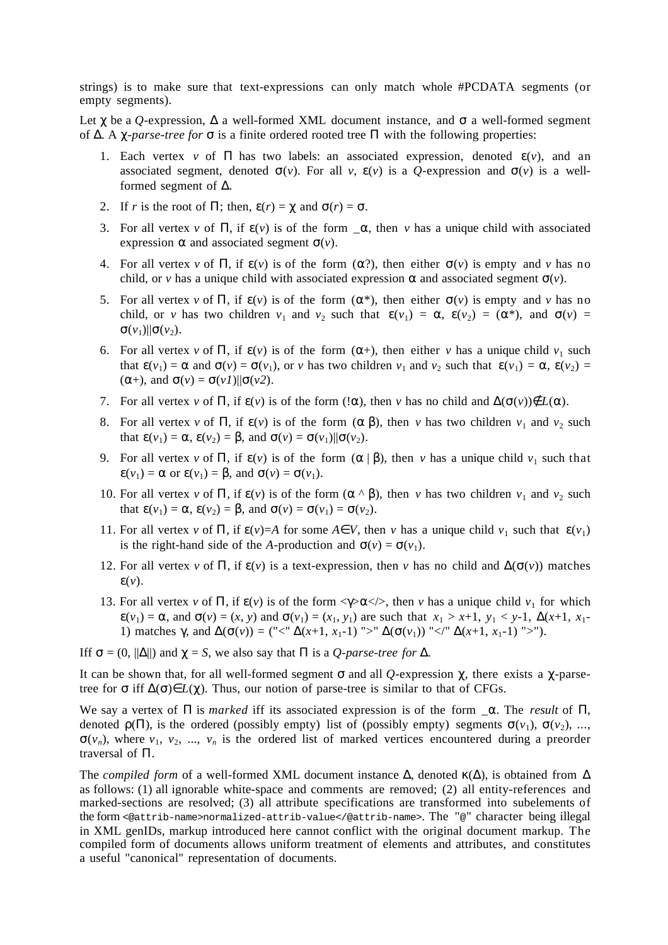strings) is to make sure that text-expressions can only match whole #PCDATA segments (or empty segments).

Let  $\chi$  be a *Q*-expression,  $\Delta$  a well-formed XML document instance, and  $\sigma$  a well-formed segment of ∆. A χ*-parse-tree for* σ is a finite ordered rooted tree Π with the following properties:

- 1. Each vertex *v* of  $\Pi$  has two labels: an associated expression, denoted  $\varepsilon(v)$ , and an associated segment, denoted  $\sigma(v)$ . For all *v*,  $\varepsilon(v)$  is a *Q*-expression and  $\sigma(v)$  is a wellformed segment of ∆.
- 2. If *r* is the root of  $\Pi$ ; then,  $\varepsilon(r) = \chi$  and  $\sigma(r) = \sigma$ .
- 3. For all vertex *v* of  $\Pi$ , if  $\varepsilon(v)$  is of the form  $\alpha$ , then *v* has a unique child with associated expression  $\alpha$  and associated segment  $\sigma(v)$ .
- 4. For all vertex *v* of  $\Pi$ , if  $\varepsilon(v)$  is of the form  $(\alpha^2)$ , then either  $\sigma(v)$  is empty and *v* has no child, or *v* has a unique child with associated expression  $\alpha$  and associated segment  $\sigma(v)$ .
- 5. For all vertex *v* of Π, if  $ε(v)$  is of the form  $(α^*)$ , then either  $σ(v)$  is empty and *v* has no child, or *v* has two children  $v_1$  and  $v_2$  such that  $\varepsilon(v_1) = \alpha$ ,  $\varepsilon(v_2) = (\alpha^*)$ , and  $\sigma(v) =$ σ( $v_1$ )||σ( $v_2$ ).
- 6. For all vertex *v* of  $\Pi$ , if  $\varepsilon(v)$  is of the form  $(\alpha+)$ , then either *v* has a unique child  $v_1$  such that  $\varepsilon(v_1) = \alpha$  and  $\sigma(v) = \sigma(v_1)$ , or *v* has two children  $v_1$  and  $v_2$  such that  $\varepsilon(v_1) = \alpha$ ,  $\varepsilon(v_2) =$ ( $\alpha$ +), and  $\sigma(v) = \sigma(v) / ||\sigma(v^2)$ .
- 7. For all vertex *v* of  $\Pi$ , if  $\varepsilon(v)$  is of the form  $(\alpha)$ , then *v* has no child and  $\Delta(\sigma(v)) \notin L(\alpha)$ .
- 8. For all vertex *v* of Π, if  $\varepsilon$ (*v*) is of the form (α β), then *v* has two children *v*<sub>1</sub> and *v*<sub>2</sub> such that  $\varepsilon(v_1) = \alpha$ ,  $\varepsilon(v_2) = \beta$ , and  $\sigma(v) = \sigma(v_1) || \sigma(v_2)$ .
- 9. For all vertex *v* of  $\Pi$ , if  $\varepsilon(v)$  is of the form  $(\alpha | \beta)$ , then *v* has a unique child  $v_1$  such that  $\varepsilon(v_1) = \alpha$  or  $\varepsilon(v_1) = \beta$ , and  $\sigma(v) = \sigma(v_1)$ .
- 10. For all vertex *v* of Π, if  $\varepsilon$ (*v*) is of the form (α ^ β), then *v* has two children *v*<sub>1</sub> and *v*<sub>2</sub> such that  $\epsilon(v_1) = \alpha$ ,  $\epsilon(v_2) = \beta$ , and  $\sigma(v) = \sigma(v_1) = \sigma(v_2)$ .
- 11. For all vertex *v* of  $\Pi$ , if  $\varepsilon(\nu) = A$  for some  $A \in V$ , then *v* has a unique child  $v_1$  such that  $\varepsilon(v_1)$ is the right-hand side of the *A*-production and  $\sigma(v) = \sigma(v_1)$ .
- 12. For all vertex *v* of Π, if  $\varepsilon$ (*v*) is a text-expression, then *v* has no child and  $\Delta(\sigma(v))$  matches  $\mathcal{E}(v)$ .
- 13. For all vertex *v* of  $\Pi$ , if  $\varepsilon(v)$  is of the form  $\langle \gamma \rangle \alpha \langle \rangle$ , then *v* has a unique child  $v_1$  for which  $\varepsilon(v_1) = \alpha$ , and  $\sigma(v) = (x, y)$  and  $\sigma(v_1) = (x_1, y_1)$  are such that  $x_1 > x+1$ ,  $y_1 < y-1$ ,  $\Delta(x+1, x_1-1)$ 1) matches  $\gamma$ , and  $\Delta(\sigma(v)) = ("<^{\prime\prime} \Delta(x+1, x_1-1) \leq \Delta(\sigma(v_1)) \leq \Delta(x+1, x_1-1) \leq \Delta(x+1, x_1-1)$ .

Iff  $\sigma = (0, ||\Delta||)$  and  $\gamma = S$ , we also say that  $\Pi$  is a *Q-parse-tree for*  $\Delta$ .

It can be shown that, for all well-formed segment σ and all *Q-*expression χ, there exists a χ-parsetree for  $\sigma$  iff  $\Delta(\sigma) \in L(\gamma)$ . Thus, our notion of parse-tree is similar to that of CFGs.

We say a vertex of Π is *marked* iff its associated expression is of the form \_α. The *result* of Π, denoted  $\rho(\Pi)$ , is the ordered (possibly empty) list of (possibly empty) segments  $\sigma(v_1)$ ,  $\sigma(v_2)$ , ...,  $\sigma(v_n)$ , where  $v_1, v_2, ..., v_n$  is the ordered list of marked vertices encountered during a preorder traversal of Π.

The *compiled form* of a well-formed XML document instance  $\Delta$ , denoted  $\kappa(\Delta)$ , is obtained from  $\Delta$ as follows: (1) all ignorable white-space and comments are removed; (2) all entity-references and marked-sections are resolved; (3) all attribute specifications are transformed into subelements of the form <@attrib-name>normalized-attrib-value</@attrib-name>. The "@" character being illegal in XML genIDs, markup introduced here cannot conflict with the original document markup. The compiled form of documents allows uniform treatment of elements and attributes, and constitutes a useful "canonical" representation of documents.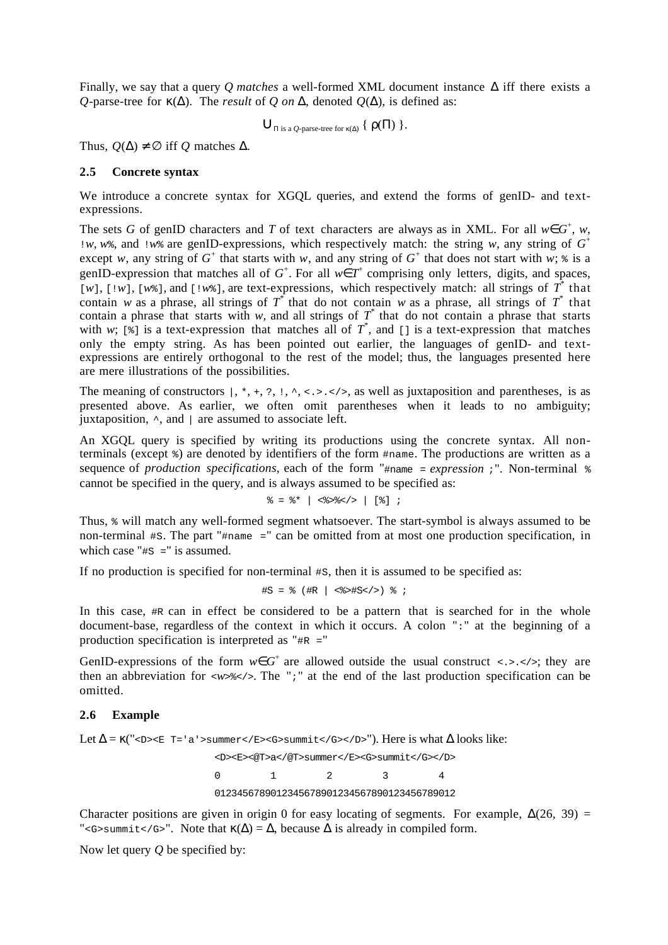Finally, we say that a query *Q matches* a well-formed XML document instance ∆ iff there exists a *Q*-parse-tree for κ(∆). The *result* of *Q on* ∆, denoted *Q*(∆), is defined as:

 $\bigcup_{\Pi \text{ is a } O\text{-parse-tree for }\kappa(\Delta)} \{ \rho(\Pi) \}.$ 

Thus,  $Q(\Delta) \neq \emptyset$  iff *Q* matches  $\Delta$ .

### **2.5 Concrete syntax**

We introduce a concrete syntax for XGOL queries, and extend the forms of genID- and textexpressions.

The sets *G* of genID characters and *T* of text characters are always as in XML. For all  $w \in G^+$ , *w*, !*w*, *w*%, and !*w*% are genID-expressions, which respectively match: the string *w*, any string of *G*<sup>+</sup> except *w*, any string of  $G^+$  that starts with *w*, and any string of  $G^+$  that does not start with *w*;  $\ast$  is a genID-expression that matches all of  $G^+$ . For all  $w \in T^+$  comprising only letters, digits, and spaces, [*w*], [ $|w|$ , [ $w$ <sup>\*</sup>, ], and [ $|w^*|$ ], are text-expressions, which respectively match: all strings of  $T^*$  that contain *w* as a phrase, all strings of  $T^*$  that do not contain *w* as a phrase, all strings of  $T^*$  that contain a phrase that starts with *w*, and all strings of  $T^*$  that do not contain a phrase that starts with *w*; [ $\frac{1}{2}$ ] is a text-expression that matches all of  $T^*$ , and [] is a text-expression that matches only the empty string. As has been pointed out earlier, the languages of genID- and textexpressions are entirely orthogonal to the rest of the model; thus, the languages presented here are mere illustrations of the possibilities.

The meaning of constructors  $\vert$ ,  $\star$ ,  $\star$ ,  $\cdot$ ,  $\vert$ ,  $\cdot$ ,  $\cdot$ ,  $\cdot$ ,  $\cdot$ ,  $\cdot$ ,  $\cdot$ ,  $\cdot$ ,  $\cdot$ ,  $\cdot$ ,  $\cdot$ ,  $\cdot$ ,  $\cdot$ ,  $\cdot$ ,  $\cdot$ ,  $\cdot$ ,  $\cdot$ ,  $\cdot$ ,  $\cdot$ ,  $\cdot$ ,  $\cdot$ ,  $\cdot$ ,  $\cdot$ ,  $\cdot$ ,  $\cdot$ ,  $\cdot$ ,  $\cdot$ ,  $\cdot$ , presented above. As earlier, we often omit parentheses when it leads to no ambiguity; juxtaposition,  $\land$ , and  $\parallel$  are assumed to associate left.

An XGQL query is specified by writing its productions using the concrete syntax. All nonterminals (except %) are denoted by identifiers of the form #name. The productions are written as a sequence of *production specifications*, each of the form "#name = *expression* ;". Non-terminal % cannot be specified in the query, and is always assumed to be specified as:

$$
\frac{1}{6} = \frac{1}{6} * | < \frac{1}{6} > \frac{1}{6} < \frac{1}{6} > \frac{1}{6} < \frac{1}{6} > \frac{1}{6} < \frac{1}{6} < \frac{1}{6} > \frac{1}{6} < \frac{1}{6} < \frac{1}{6} < \frac{1}{6} > \frac{1}{6} < \frac{1}{6} < \frac{1}{6} > \frac{1}{6} < \frac{1}{6} < \frac{1}{6} > \frac{1}{6} < \frac{1}{6} < \frac{1}{6} > \frac{1}{6} < \frac{1}{6} > \frac{1}{6} < \frac{1}{6} > \frac{1}{6} < \frac{1}{6} > \frac{1}{6} < \frac{1}{6} > \frac{1}{6} < \frac{1}{6} > \frac{1}{6} < \frac{1}{6} > \frac{1}{6} < \frac{1}{6} > \frac{1}{6} < \frac{1}{6} > \frac{1}{6} < \frac{1}{6} > \frac{1}{6} < \frac{1}{6} > \frac{1}{6} < \frac{1}{6} > \frac{1}{6} < \frac{1}{6} > \frac{1}{6} < \frac{1}{6} > \frac{1}{6} < \frac{1}{6} > \frac{1}{6} < \frac{1}{6} > \frac{1}{6} < \frac{1}{6} > \frac{1}{6} < \frac{1}{6} > \frac{1}{6} > \frac{1}{6} < \frac{1}{6} > \frac{1}{6} > \frac{1}{6} > \frac{1}{6} > \frac{1}{6} > \frac{1}{6} > \frac{1}{6} > \frac{1}{6} > \frac{1}{6} > \frac{1}{6} > \frac{1}{6} > \frac{1}{6} > \frac{1}{6} > \frac{1}{6} > \frac{1}{6} > \frac{1}{6} > \frac{1}{6} > \frac{
$$

Thus, % will match any well-formed segment whatsoever. The start-symbol is always assumed to be non-terminal #S. The part "#name =" can be omitted from at most one production specification, in which case " $\#s =$ " is assumed.

If no production is specified for non-terminal #S, then it is assumed to be specified as:

 $#S = %$  ( $#R$  | <%> $#S$   $\leq$  / >) % ;

In this case,  $\#R$  can in effect be considered to be a pattern that is searched for in the whole document-base, regardless of the context in which it occurs. A colon ":" at the beginning of a production specification is interpreted as "#R ="

GenID-expressions of the form  $w \in G^+$  are allowed outside the usual construct <.>.</>>.</>></>; they are then an abbreviation for  $\langle w \rangle$   $\langle \rangle$ . The ";" at the end of the last production specification can be omitted.

## **2.6 Example**

Let  $\Delta = \kappa("*D<*E = 'a'>*summer(E(E(E(E(E(E(E(E(E)/(E)/(E)/(E)/(E)/(E)/(E)/(E)/(E)/(E)/(E)/(E)/(E)/(E)/(E)/(E)/(E)/(E)/(E)/(*$ <D><E><@T>a</@T>summer</E><G>summit</G></D> 0 1 2 3 4 0123456789012345678901234567890123456789012

Character positions are given in origin 0 for easy locating of segments. For example,  $\Delta(26, 39)$  = "<G>summit</G>". Note that  $\kappa(\Delta) = \Delta$ , because  $\Delta$  is already in compiled form.

Now let query *Q* be specified by: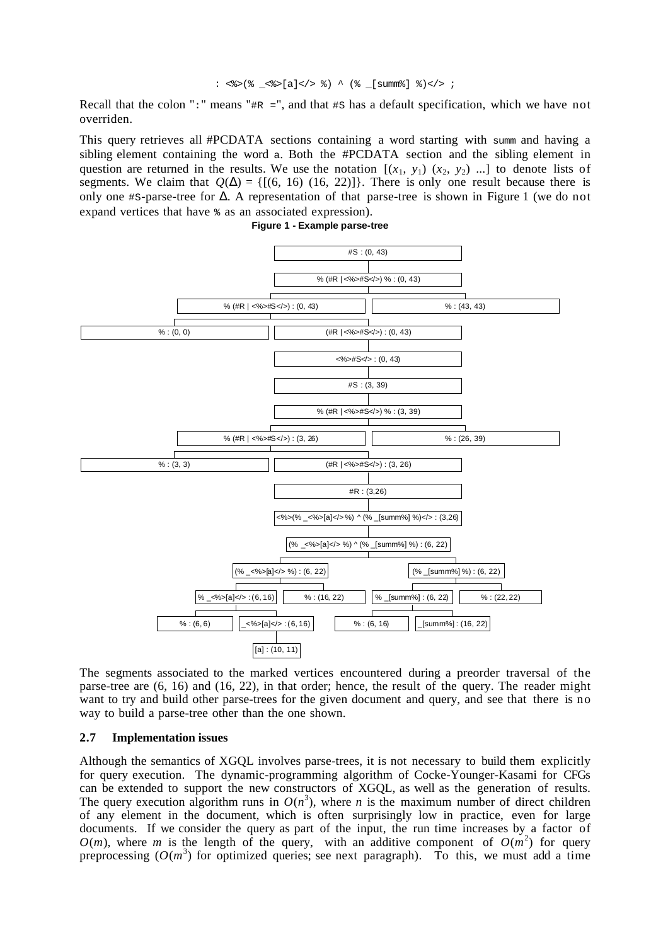$:$  <%>(% <%>[a]</> %) ^ (% [summ%] %)</> ;

Recall that the colon ":" means " $\#R =$ ", and that  $\#S$  has a default specification, which we have not overriden.

This query retrieves all #PCDATA sections containing a word starting with summ and having a sibling element containing the word a. Both the #PCDATA section and the sibling element in question are returned in the results. We use the notation  $[(x_1, y_1), (x_2, y_2),...]$  to denote lists of segments. We claim that  $Q(\Delta) = \{[(6, 16), (16, 22)]\}$ . There is only one result because there is only one #S-parse-tree for ∆. A representation of that parse-tree is shown in Figure 1 (we do not expand vertices that have % as an associated expression).



**Figure 1 - Example parse-tree**

The segments associated to the marked vertices encountered during a preorder traversal of the parse-tree are (6, 16) and (16, 22), in that order; hence, the result of the query. The reader might want to try and build other parse-trees for the given document and query, and see that there is no way to build a parse-tree other than the one shown.

### **2.7 Implementation issues**

Although the semantics of XGQL involves parse-trees, it is not necessary to build them explicitly for query execution. The dynamic-programming algorithm of Cocke-Younger-Kasami for CFGs can be extended to support the new constructors of XGQL, as well as the generation of results. The query execution algorithm runs in  $O(n^3)$ , where *n* is the maximum number of direct children of any element in the document, which is often surprisingly low in practice, even for large documents. If we consider the query as part of the input, the run time increases by a factor of  $O(m)$ , where *m* is the length of the query, with an additive component of  $O(m^2)$  for query preprocessing  $(O(m^3)$  for optimized queries; see next paragraph). To this, we must add a time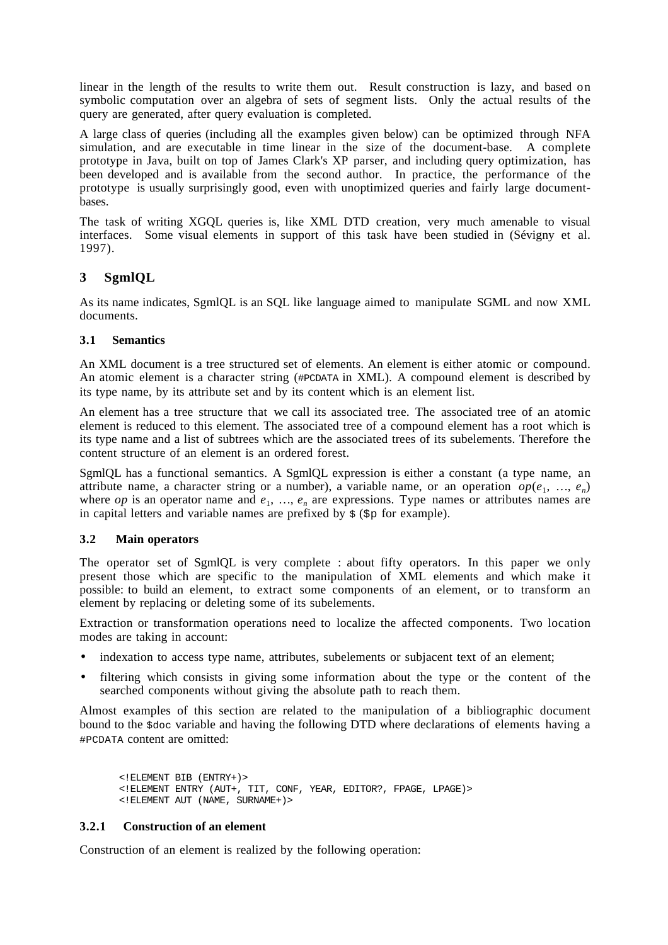linear in the length of the results to write them out. Result construction is lazy, and based on symbolic computation over an algebra of sets of segment lists. Only the actual results of the query are generated, after query evaluation is completed.

A large class of queries (including all the examples given below) can be optimized through NFA simulation, and are executable in time linear in the size of the document-base. A complete prototype in Java, built on top of James Clark's XP parser, and including query optimization, has been developed and is available from the second author. In practice, the performance of the prototype is usually surprisingly good, even with unoptimized queries and fairly large documentbases.

The task of writing XGQL queries is, like XML DTD creation, very much amenable to visual interfaces. Some visual elements in support of this task have been studied in (Sévigny et al. 1997).

# **3 SgmlQL**

As its name indicates, SgmlQL is an SQL like language aimed to manipulate SGML and now XML documents.

# **3.1 Semantics**

An XML document is a tree structured set of elements. An element is either atomic or compound. An atomic element is a character string (#PCDATA in XML). A compound element is described by its type name, by its attribute set and by its content which is an element list.

An element has a tree structure that we call its associated tree. The associated tree of an atomic element is reduced to this element. The associated tree of a compound element has a root which is its type name and a list of subtrees which are the associated trees of its subelements. Therefore the content structure of an element is an ordered forest.

SgmlQL has a functional semantics. A SgmlQL expression is either a constant (a type name, an attribute name, a character string or a number), a variable name, or an operation  $op(e_1, ..., e_n)$ where *op* is an operator name and  $e_1$ , ...,  $e_n$  are expressions. Type names or attributes names are in capital letters and variable names are prefixed by  $\zeta$  ( $\zeta$  for example).

# **3.2 Main operators**

The operator set of SgmlQL is very complete : about fifty operators. In this paper we only present those which are specific to the manipulation of XML elements and which make it possible: to build an element, to extract some components of an element, or to transform an element by replacing or deleting some of its subelements.

Extraction or transformation operations need to localize the affected components. Two location modes are taking in account:

- indexation to access type name, attributes, subelements or subjacent text of an element;
- filtering which consists in giving some information about the type or the content of the searched components without giving the absolute path to reach them.

Almost examples of this section are related to the manipulation of a bibliographic document bound to the \$doc variable and having the following DTD where declarations of elements having a #PCDATA content are omitted:

<!ELEMENT BIB (ENTRY+)> <!ELEMENT ENTRY (AUT+, TIT, CONF, YEAR, EDITOR?, FPAGE, LPAGE)> <!ELEMENT AUT (NAME, SURNAME+)>

# **3.2.1 Construction of an element**

Construction of an element is realized by the following operation: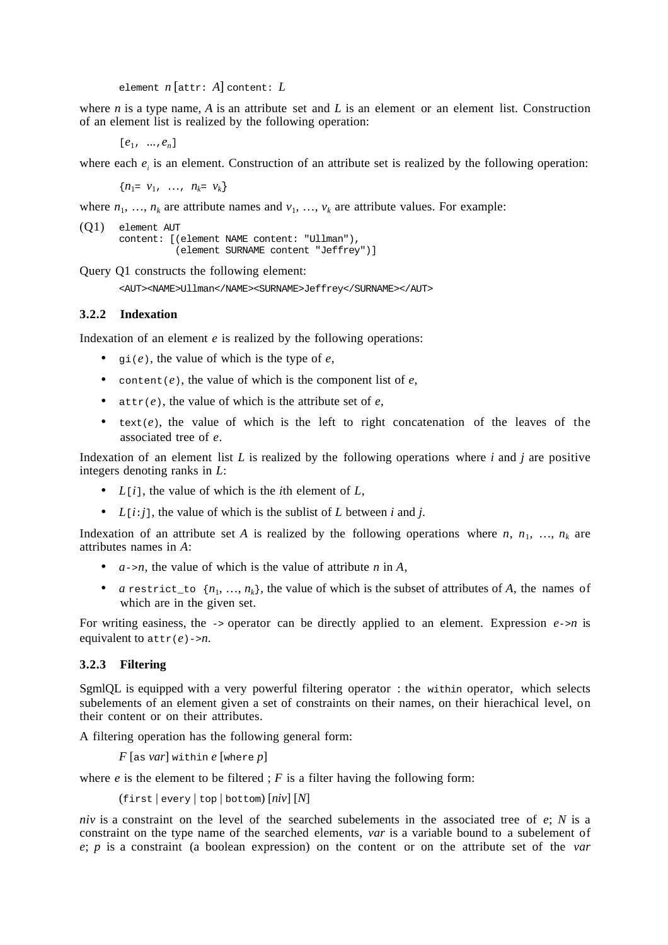element *n* [attr: *A*] content: *L*

where *n* is a type name, *A* is an attribute set and *L* is an element or an element list. Construction of an element list is realized by the following operation:

[*e*1, ...,*en*]

where each  $e_i$  is an element. Construction of an attribute set is realized by the following operation:

 ${n_1 = v_1, ..., n_k = v_k}$ 

where  $n_1, \ldots, n_k$  are attribute names and  $v_1, \ldots, v_k$  are attribute values. For example:

```
(Q1) element AUT
       content: [(element NAME content: "Ullman"),
                  (element SURNAME content "Jeffrey")]
```
Query Q1 constructs the following element:

<AUT><NAME>Ullman</NAME><SURNAME>Jeffrey</SURNAME></AUT>

### **3.2.2 Indexation**

Indexation of an element *e* is realized by the following operations:

- $gi(e)$ , the value of which is the type of  $e$ ,
- content( $e$ ), the value of which is the component list of  $e$ ,
- attr(*e*), the value of which is the attribute set of *e*,
- $\bullet$  text( $e$ ), the value of which is the left to right concatenation of the leaves of the associated tree of *e*.

Indexation of an element list *L* is realized by the following operations where *i* and *j* are positive integers denoting ranks in *L*:

- *L*[*i*], the value of which is the *i*th element of *L*,
- $L[i:j]$ , the value of which is the sublist of *L* between *i* and *j*.

Indexation of an attribute set *A* is realized by the following operations where *n*,  $n_1$ , …,  $n_k$  are attributes names in *A*:

- $a \rightarrow n$ , the value of which is the value of attribute *n* in *A*,
- *a* restrict\_to  $\{n_1, ..., n_k\}$ , the value of which is the subset of attributes of *A*, the names of which are in the given set.

For writing easiness, the  $\rightarrow$  operator can be directly applied to an element. Expression  $e\rightarrow n$  is equivalent to attr(*e*)->*n*.

### **3.2.3 Filtering**

SgmlQL is equipped with a very powerful filtering operator : the within operator, which selects subelements of an element given a set of constraints on their names, on their hierachical level, on their content or on their attributes.

A filtering operation has the following general form:

*F* [as *var*] within *e* [where *p*]

where  $e$  is the element to be filtered;  $F$  is a filter having the following form:

(first | every | top | bottom) [*niv*] [*N*]

*niv* is a constraint on the level of the searched subelements in the associated tree of *e*; *N* is a constraint on the type name of the searched elements, *var* is a variable bound to a subelement of *e*; *p* is a constraint (a boolean expression) on the content or on the attribute set of the *var*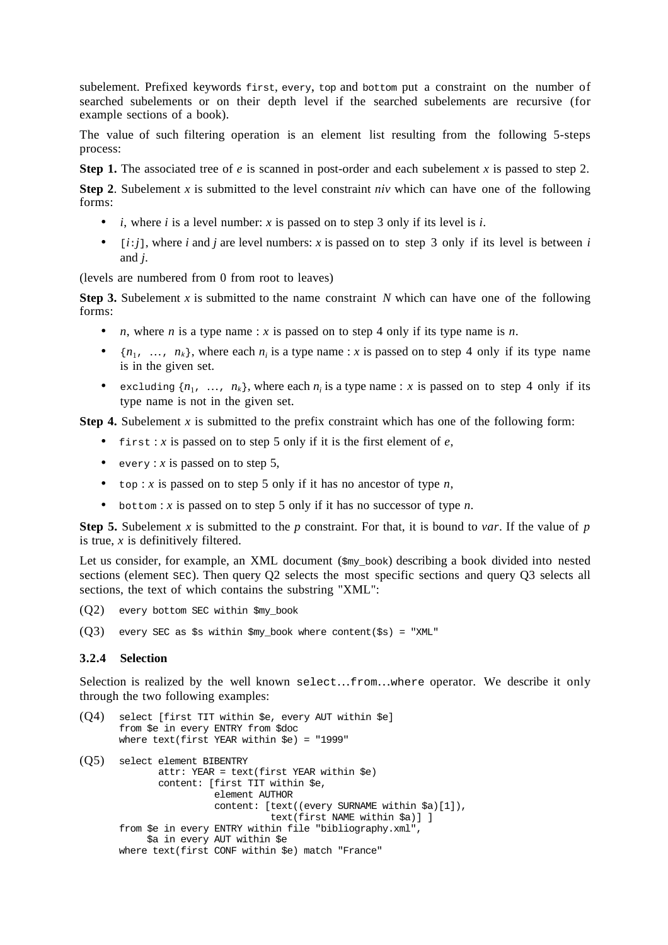subelement. Prefixed keywords first, every, top and bottom put a constraint on the number of searched subelements or on their depth level if the searched subelements are recursive (for example sections of a book).

The value of such filtering operation is an element list resulting from the following 5-steps process:

**Step 1.** The associated tree of *e* is scanned in post-order and each subelement *x* is passed to step 2.

**Step 2**. Subelement *x* is submitted to the level constraint *niv* which can have one of the following forms:

- *i*, where *i* is a level number: *x* is passed on to step 3 only if its level is *i*.
- $[i:i]$ , where *i* and *j* are level numbers: *x* is passed on to step 3 only if its level is between *i* and *j*.

(levels are numbered from 0 from root to leaves)

**Step 3.** Subelement *x* is submitted to the name constraint *N* which can have one of the following forms:

- *n*, where *n* is a type name : *x* is passed on to step 4 only if its type name is *n*.
- $\{n_1, \ldots, n_k\}$ , where each  $n_i$  is a type name : *x* is passed on to step 4 only if its type name is in the given set.
- excluding  $\{n_1, \ldots, n_k\}$ , where each  $n_i$  is a type name : *x* is passed on to step 4 only if its type name is not in the given set.

**Step 4.** Subelement *x* is submitted to the prefix constraint which has one of the following form:

- first : *x* is passed on to step 5 only if it is the first element of  $e$ ,
- every : *x* is passed on to step 5,
- top : *x* is passed on to step 5 only if it has no ancestor of type *n*,
- bottom : *x* is passed on to step 5 only if it has no successor of type *n*.

**Step 5.** Subelement *x* is submitted to the *p* constraint. For that, it is bound to *var*. If the value of *p* is true, *x* is definitively filtered.

Let us consider, for example, an XML document  $(s_{\text{my book}})$  describing a book divided into nested sections (element  $SEC$ ). Then query Q2 selects the most specific sections and query Q3 selects all sections, the text of which contains the substring "XML":

- $(Q2)$  every bottom SEC within \$my\_book
- $(Q3)$  every SEC as \$s within \$my\_book where content(\$s) = "XML"

### **3.2.4 Selection**

Selection is realized by the well known select…from…where operator. We describe it only through the two following examples:

```
(Q4) select [first TIT within $e, every AUT within $e]
       from $e in every ENTRY from $doc
       where text(first YEAR within $e) = "1999"
(Q5) select element BIBENTRY
               attr: YEAR = text(first YEAR within $e)
               content: [first TIT within $e,
                         element AUTHOR
                         content: [text((every SURNAME within $a)[1]),
                                   text(first NAME within $a)] ]
       from $e in every ENTRY within file "bibliography.xml",
            $a in every AUT within $e
       where text(first CONF within $e) match "France"
```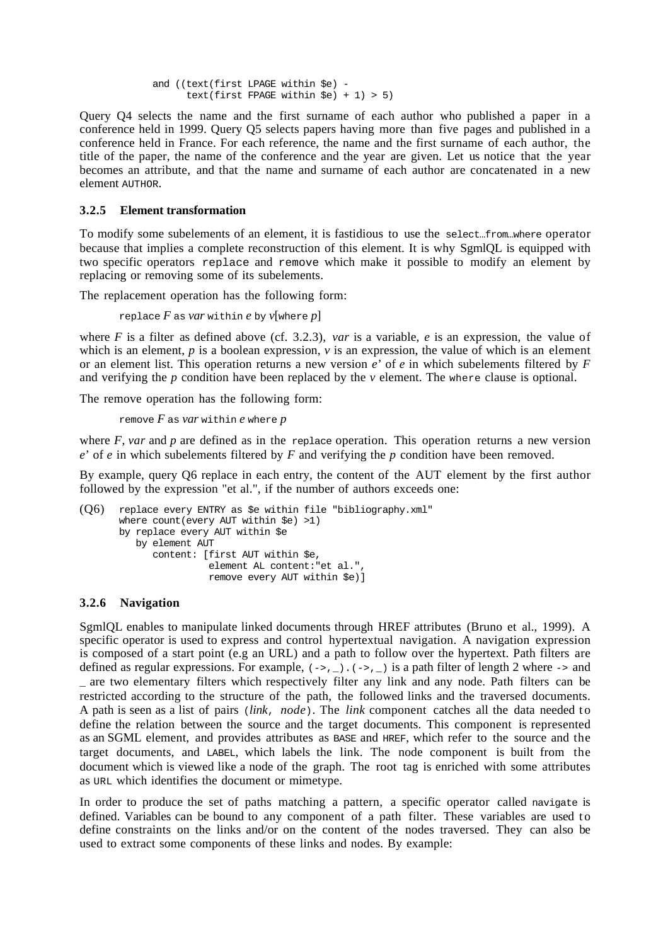```
 and ((text(first LPAGE within $e) -
      text(first FPAGE within \text{Se}) + 1) > 5)
```
Query Q4 selects the name and the first surname of each author who published a paper in a conference held in 1999. Query Q5 selects papers having more than five pages and published in a conference held in France. For each reference, the name and the first surname of each author, the title of the paper, the name of the conference and the year are given. Let us notice that the year becomes an attribute, and that the name and surname of each author are concatenated in a new element AUTHOR.

## **3.2.5 Element transformation**

To modify some subelements of an element, it is fastidious to use the select…from…where operator because that implies a complete reconstruction of this element. It is why SgmlQL is equipped with two specific operators replace and remove which make it possible to modify an element by replacing or removing some of its subelements.

The replacement operation has the following form:

replace  $F$  as *var* within  $e$  by  $v$ [where  $p$ ]

where *F* is a filter as defined above (cf. 3.2.3), *var* is a variable, *e* is an expression, the value of which is an element, *p* is a boolean expression, *v* is an expression, the value of which is an element or an element list. This operation returns a new version *e*' of *e* in which subelements filtered by *F* and verifying the *p* condition have been replaced by the *v* element. The where clause is optional.

The remove operation has the following form:

remove *F* as *var* within *e* where *p*

where  $F$ , *var* and  $p$  are defined as in the replace operation. This operation returns a new version *e*' of *e* in which subelements filtered by *F* and verifying the *p* condition have been removed.

By example, query Q6 replace in each entry, the content of the AUT element by the first author followed by the expression "et al.", if the number of authors exceeds one:

```
(Q6) replace every ENTRY as $e within file "bibliography.xml"
       where count(every AUT within $e) >1)
       by replace every AUT within $e
          by element AUT
              content: [first AUT within $e,
                        element AL content:"et al.",
                        remove every AUT within $e)]
```
## **3.2.6 Navigation**

SgmlQL enables to manipulate linked documents through HREF attributes (Bruno et al., 1999). A specific operator is used to express and control hypertextual navigation. A navigation expression is composed of a start point (e.g an URL) and a path to follow over the hypertext. Path filters are defined as regular expressions. For example,  $(-, )$ .  $(-, )$  is a path filter of length 2 where  $\rightarrow$  and \_ are two elementary filters which respectively filter any link and any node. Path filters can be restricted according to the structure of the path, the followed links and the traversed documents. A path is seen as a list of pairs (*link*, *node*). The *link* component catches all the data needed to define the relation between the source and the target documents. This component is represented as an SGML element, and provides attributes as BASE and HREF, which refer to the source and the target documents, and LABEL, which labels the link. The node component is built from the document which is viewed like a node of the graph. The root tag is enriched with some attributes as URL which identifies the document or mimetype.

In order to produce the set of paths matching a pattern, a specific operator called navigate is defined. Variables can be bound to any component of a path filter. These variables are used to define constraints on the links and/or on the content of the nodes traversed. They can also be used to extract some components of these links and nodes. By example: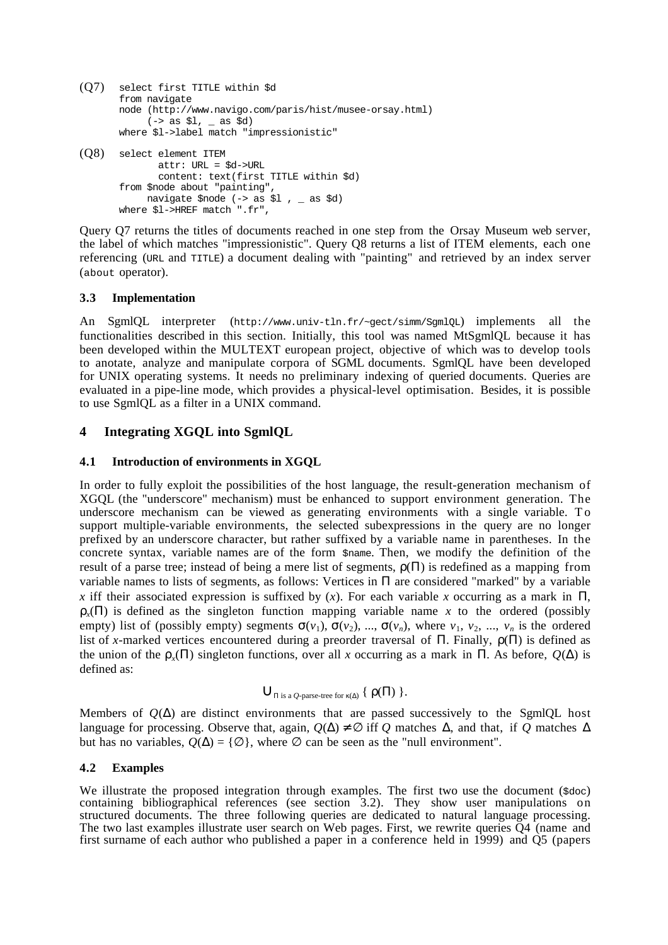```
(Q7) select first TITLE within $d
      from navigate
      node (http://www.navigo.com/paris/hist/musee-orsay.html)
            (-> as $1, - as $d)where $l->label match "impressionistic"
(Q8) select element ITEM
              attr: URL = $d->URL
              content: text(first TITLE within $d)
       from $node about "painting",
          navigate $node (-> as $1, _ as $d)
      where $l->HREF match ".fr",
```
Query Q7 returns the titles of documents reached in one step from the Orsay Museum web server, the label of which matches "impressionistic". Query Q8 returns a list of ITEM elements, each one referencing (URL and TITLE) a document dealing with "painting" and retrieved by an index server (about operator).

## **3.3 Implementation**

An SgmlQL interpreter (http://www.univ-tln.fr/~gect/simm/SgmlQL) implements all the functionalities described in this section. Initially, this tool was named MtSgmlQL because it has been developed within the MULTEXT european project, objective of which was to develop tools to anotate, analyze and manipulate corpora of SGML documents. SgmlQL have been developed for UNIX operating systems. It needs no preliminary indexing of queried documents. Queries are evaluated in a pipe-line mode, which provides a physical-level optimisation. Besides, it is possible to use SgmlQL as a filter in a UNIX command.

# **4 Integrating XGQL into SgmlQL**

### **4.1 Introduction of environments in XGQL**

In order to fully exploit the possibilities of the host language, the result-generation mechanism of XGQL (the "underscore" mechanism) must be enhanced to support environment generation. The underscore mechanism can be viewed as generating environments with a single variable. To support multiple-variable environments, the selected subexpressions in the query are no longer prefixed by an underscore character, but rather suffixed by a variable name in parentheses. In the concrete syntax, variable names are of the form \$name. Then, we modify the definition of the result of a parse tree; instead of being a mere list of segments,  $\rho(\Pi)$  is redefined as a mapping from variable names to lists of segments, as follows: Vertices in  $\Pi$  are considered "marked" by a variable *x* iff their associated expression is suffixed by (*x*). For each variable *x* occurring as a mark in  $\Pi$ ,  $\rho_{r}(\Pi)$  is defined as the singleton function mapping variable name *x* to the ordered (possibly empty) list of (possibly empty) segments  $\sigma(v_1)$ ,  $\sigma(v_2)$ , ...,  $\sigma(v_n)$ , where  $v_1$ ,  $v_2$ , ...,  $v_n$  is the ordered list of *x*-marked vertices encountered during a preorder traversal of  $\Pi$ . Finally,  $\rho(\Pi)$  is defined as the union of the  $\rho_{\nu}(\Pi)$  singleton functions, over all *x* occurring as a mark in  $\Pi$ . As before,  $O(\Delta)$  is defined as:

$$
\bigcup_{\Pi \text{ is a } Q\text{-parse-tree for }\kappa(\Delta)} \left\{ \rho(\Pi) \right\}.
$$

Members of  $O(\Delta)$  are distinct environments that are passed successively to the SgmlQL host language for processing. Observe that, again,  $Q(\Delta) \neq \emptyset$  iff  $Q$  matches  $\Delta$ , and that, if  $Q$  matches  $\Delta$ but has no variables,  $Q(\Delta) = \{ \emptyset \}$ , where  $\emptyset$  can be seen as the "null environment".

### **4.2 Examples**

We illustrate the proposed integration through examples. The first two use the document ( $\epsilon d\sigma c$ ) containing bibliographical references (see section 3.2). They show user manipulations on structured documents. The three following queries are dedicated to natural language processing. The two last examples illustrate user search on Web pages. First, we rewrite queries Q4 (name and first surname of each author who published a paper in a conference held in 1999) and Q5 (papers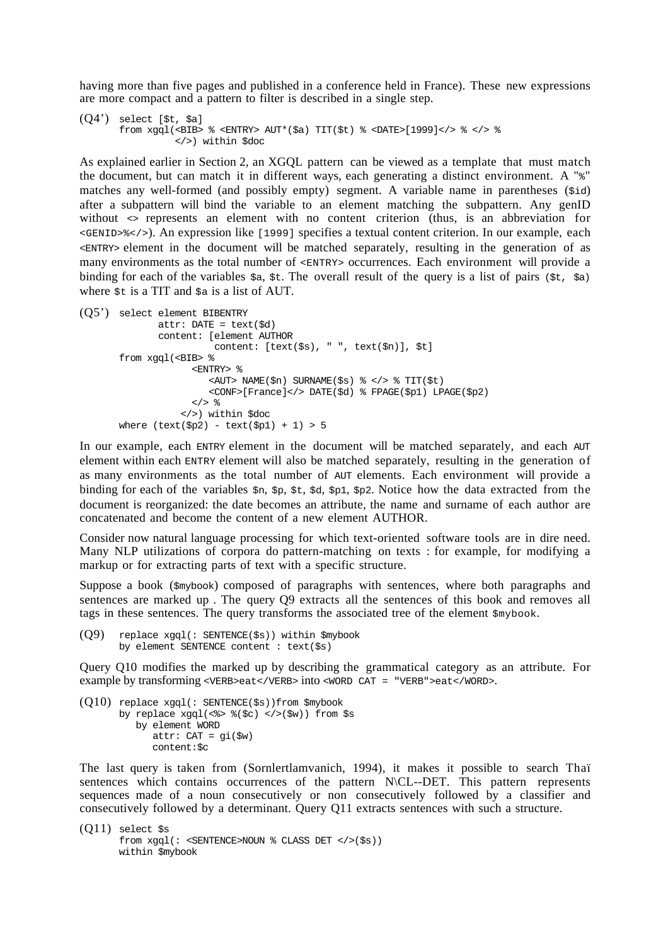having more than five pages and published in a conference held in France). These new expressions are more compact and a pattern to filter is described in a single step.

```
(Q4') select [$t, $a]
       from xqql(<BIB> % <ENTRY> AUT*($a) TIT($t) % <DATE>[1999]</> % </> %
                  </>) within $doc
```
As explained earlier in Section 2, an XGQL pattern can be viewed as a template that must match the document, but can match it in different ways, each generating a distinct environment. A "%" matches any well-formed (and possibly empty) segment. A variable name in parentheses (\$id) after a subpattern will bind the variable to an element matching the subpattern. Any genID without  $\leftrightarrow$  represents an element with no content criterion (thus, is an abbreviation for <GENID>%</>). An expression like [1999] specifies a textual content criterion. In our example, each <ENTRY> element in the document will be matched separately, resulting in the generation of as many environments as the total number of <ENTRY> occurrences. Each environment will provide a binding for each of the variables  $\zeta_{a}$ ,  $\zeta_{t}$ . The overall result of the query is a list of pairs ( $\zeta_{t}$ ,  $\zeta_{a}$ ) where  $st$  is a TIT and  $sa$  is a list of AUT.

```
(Q5') select element BIBENTRY
              attr: DATE = text(\text{sd}) content: [element AUTHOR
                         content: [text($s), " ", text($n)], $t]
       from xgql(<BIB> %
                      <ENTRY> %
                         <AUT> NAME($n) SURNAME($s) % </> % TIT($t)
                         <CONF>[France]</> DATE($d) % FPAGE($p1) LPAGE($p2)
                     \lt/ > \approx </>) within $doc
       where (text(Sp2) - text(Sp1) + 1) > 5
```
In our example, each ENTRY element in the document will be matched separately, and each AUT element within each ENTRY element will also be matched separately, resulting in the generation of as many environments as the total number of AUT elements. Each environment will provide a binding for each of the variables  $\varsigma_{p}$ ,  $\varsigma_{p}$ ,  $\varsigma_{p}$ ,  $\varsigma_{p}$ ,  $\varsigma_{p}$ ,  $\varsigma_{p}$ ,  $\varsigma_{p}$ ,  $\varsigma_{p}$ . Notice how the data extracted from the document is reorganized: the date becomes an attribute, the name and surname of each author are concatenated and become the content of a new element AUTHOR.

Consider now natural language processing for which text-oriented software tools are in dire need. Many NLP utilizations of corpora do pattern-matching on texts : for example, for modifying a markup or for extracting parts of text with a specific structure.

Suppose a book (\$mybook) composed of paragraphs with sentences, where both paragraphs and sentences are marked up . The query Q9 extracts all the sentences of this book and removes all tags in these sentences. The query transforms the associated tree of the element  $\frac{2}{3}$  mybook.

```
(Q9) replace xgql(: SENTENCE($s)) within $mybook
      by element SENTENCE content : text($s)
```
Query Q10 modifies the marked up by describing the grammatical category as an attribute. For example by transforming <VERB>eat</VERB> into <WORD CAT = "VERB">eat</WORD>.

```
(010) replace xqql(: SENTENCE($s))from $mybook
       by replace xqql(\langle\ > \{(sc) \langle\ \langle\ w)) from \s
            by element WORD
               attr: CAT = qi(\$w) content:$c
```
The last query is taken from (Sornlertlamvanich, 1994), it makes it possible to search Thaï sentences which contains occurrences of the pattern N\CL--DET. This pattern represents sequences made of a noun consecutively or non consecutively followed by a classifier and consecutively followed by a determinant. Query Q11 extracts sentences with such a structure.

```
(Q11) select $s
      from xgql(: <SENTENCE>NOUN % CLASS DET </>($s))
      within $mybook
```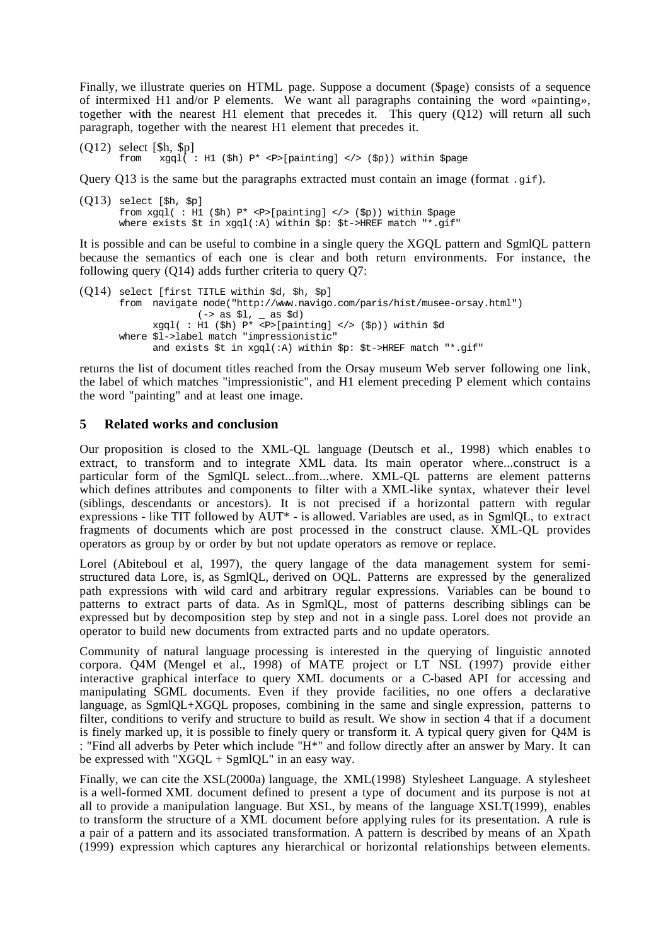Finally, we illustrate queries on HTML page. Suppose a document (\$page) consists of a sequence of intermixed H1 and/or P elements. We want all paragraphs containing the word «painting», together with the nearest H1 element that precedes it. This query (Q12) will return all such paragraph, together with the nearest H1 element that precedes it.

 $(Q12)$  select  $[\$h, \$p]$ <br>from  $\frac{3}{2}$ from xgql( : H1 (\$h) P\* <P>[painting] </> (\$p)) within \$page

Query Q13 is the same but the paragraphs extracted must contain an image (format .gif).

 $(Q13)$  select [\$h, \$p] from xgql( : H1 (\$h)  $P^*$  <P>[painting] </> (\$p)) within \$page where exists \$t in xqql(:A) within \$p: \$t->HREF match "\*.qif"

It is possible and can be useful to combine in a single query the XGQL pattern and SgmlQL pattern because the semantics of each one is clear and both return environments. For instance, the following query (Q14) adds further criteria to query Q7:

```
(Q14) select [first TITLE within $d, $h, $p]
       from navigate node("http://www.navigo.com/paris/hist/musee-orsay.html")
                     (- > as $1, - as $d)xqq1( : H1 ($h) P* <P>[painting] </> ($p)) within $d
       where $l->label match "impressionistic"
              and exists $t in xgql(:A) within $p: $t->HREF match "*.gif"
```
returns the list of document titles reached from the Orsay museum Web server following one link, the label of which matches "impressionistic", and H1 element preceding P element which contains the word "painting" and at least one image.

## **5 Related works and conclusion**

Our proposition is closed to the XML-OL language (Deutsch et al., 1998) which enables to extract, to transform and to integrate XML data. Its main operator where...construct is a particular form of the SgmlQL select...from...where. XML-QL patterns are element patterns which defines attributes and components to filter with a XML-like syntax, whatever their level (siblings, descendants or ancestors). It is not precised if a horizontal pattern with regular expressions - like TIT followed by AUT\* - is allowed. Variables are used, as in SgmlQL, to extract fragments of documents which are post processed in the construct clause. XML-QL provides operators as group by or order by but not update operators as remove or replace.

Lorel (Abiteboul et al, 1997), the query langage of the data management system for semistructured data Lore, is, as SgmlQL, derived on OQL. Patterns are expressed by the generalized path expressions with wild card and arbitrary regular expressions. Variables can be bound to patterns to extract parts of data. As in SgmlQL, most of patterns describing siblings can be expressed but by decomposition step by step and not in a single pass. Lorel does not provide an operator to build new documents from extracted parts and no update operators.

Community of natural language processing is interested in the querying of linguistic annoted corpora. Q4M (Mengel et al., 1998) of MATE project or LT NSL (1997) provide either interactive graphical interface to query XML documents or a C-based API for accessing and manipulating SGML documents. Even if they provide facilities, no one offers a declarative language, as SgmlQL+XGQL proposes, combining in the same and single expression, patterns to filter, conditions to verify and structure to build as result. We show in section 4 that if a document is finely marked up, it is possible to finely query or transform it. A typical query given for Q4M is : "Find all adverbs by Peter which include "H\*" and follow directly after an answer by Mary. It can be expressed with " $XGQL + SgmIQL$ " in an easy way.

Finally, we can cite the XSL(2000a) language, the XML(1998) Stylesheet Language. A stylesheet is a well-formed XML document defined to present a type of document and its purpose is not at all to provide a manipulation language. But XSL, by means of the language  $XSLT(1999)$ , enables to transform the structure of a XML document before applying rules for its presentation. A rule is a pair of a pattern and its associated transformation. A pattern is described by means of an Xpath (1999) expression which captures any hierarchical or horizontal relationships between elements.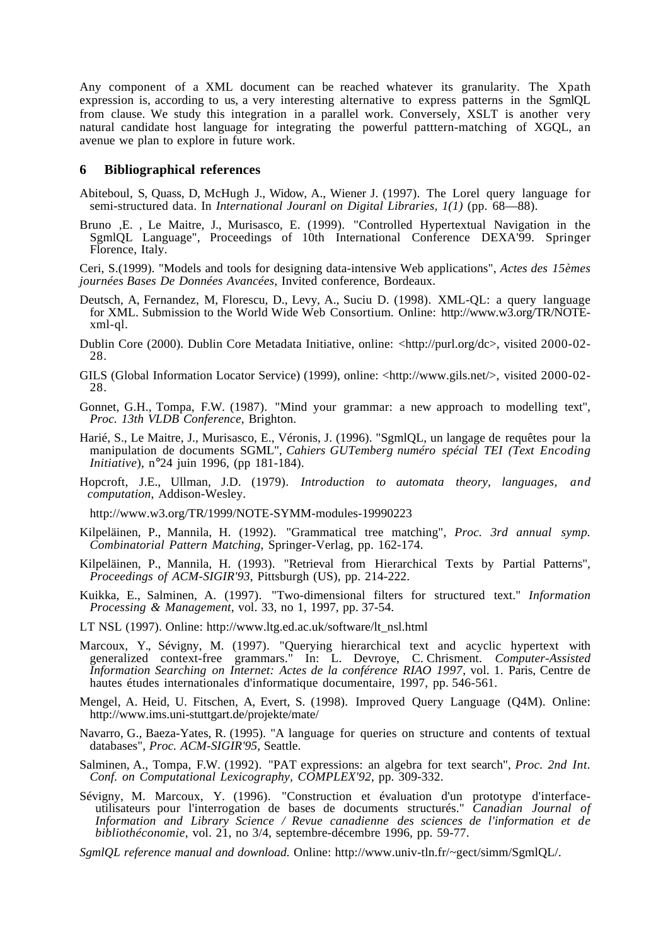Any component of a XML document can be reached whatever its granularity. The Xpath expression is, according to us, a very interesting alternative to express patterns in the SgmlQL from clause. We study this integration in a parallel work. Conversely, XSLT is another very natural candidate host language for integrating the powerful patttern-matching of XGQL, an avenue we plan to explore in future work.

#### **6 Bibliographical references**

- Abiteboul, S, Quass, D, McHugh J., Widow, A., Wiener J. (1997). The Lorel query language for semi-structured data. In *International Jouranl on Digital Libraries*,  $1(1)$  (pp. 68–88).
- Bruno ,E. , Le Maitre, J., Murisasco, E. (1999). "Controlled Hypertextual Navigation in the SgmlQL Language", Proceedings of 10th International Conference DEXA'99. Springer Florence, Italy.

Ceri, S.(1999). "Models and tools for designing data-intensive Web applications", *Actes des 15èmes journées Bases De Données Avancées*, Invited conference, Bordeaux.

- Deutsch, A, Fernandez, M, Florescu, D., Levy, A., Suciu D. (1998). XML-QL: a query language for XML. Submission to the World Wide Web Consortium*.* Online: http://www.w3.org/TR/NOTExml-ql.
- Dublin Core (2000). Dublin Core Metadata Initiative, online: <http://purl.org/dc>, visited 2000-02- 28.
- GILS (Global Information Locator Service) (1999), online: <http://www.gils.net/>, visited 2000-02- 28.
- Gonnet, G.H., Tompa, F.W. (1987). "Mind your grammar: a new approach to modelling text", *Proc. 13th VLDB Conference*, Brighton.
- Harié, S., Le Maitre, J., Murisasco, E., Véronis, J. (1996). "SgmlQL, un langage de requêtes pour la manipulation de documents SGML", *Cahiers GUTemberg numéro spécial TEI (Text Encoding Initiative*), n°24 juin 1996, (pp 181-184).
- Hopcroft, J.E., Ullman, J.D. (1979). *Introduction to automata theory, languages, and computation*, Addison-Wesley.

http://www.w3.org/TR/1999/NOTE-SYMM-modules-19990223

- Kilpeläinen, P., Mannila, H. (1992). "Grammatical tree matching", *Proc. 3rd annual symp. Combinatorial Pattern Matching*, Springer-Verlag, pp. 162-174.
- Kilpeläinen, P., Mannila, H. (1993). "Retrieval from Hierarchical Texts by Partial Patterns", *Proceedings of ACM-SIGIR'93*, Pittsburgh (US), pp. 214-222.
- Kuikka, E., Salminen, A. (1997). "Two-dimensional filters for structured text." *Information Processing & Management*, vol. 33, no 1, 1997, pp. 37-54.
- LT NSL (1997). Online: http://www.ltg.ed.ac.uk/software/lt\_nsl.html
- Marcoux, Y., Sévigny, M. (1997). "Querying hierarchical text and acyclic hypertext with generalized context-free grammars." In: L. Devroye, C. Chrisment. *Computer-Assisted Information Searching on Internet: Actes de la conférence RIAO 1997*, vol. 1. Paris, Centre de hautes études internationales d'informatique documentaire, 1997, pp. 546-561.
- Mengel, A. Heid, U. Fitschen, A, Evert, S. (1998). Improved Query Language (Q4M). Online: http://www.ims.uni-stuttgart.de/projekte/mate/
- Navarro, G., Baeza-Yates, R. (1995). "A language for queries on structure and contents of textual databases", *Proc. ACM-SIGIR'95*, Seattle.
- Salminen, A., Tompa, F.W. (1992). "PAT expressions: an algebra for text search", *Proc. 2nd Int. Conf. on Computational Lexicography, COMPLEX'92*, pp. 309-332.
- Sévigny, M. Marcoux, Y. (1996). "Construction et évaluation d'un prototype d'interfaceutilisateurs pour l'interrogation de bases de documents structurés." *Canadian Journal of Information and Library Science / Revue canadienne des sciences de l'information et de bibliothéconomie*, vol. 21, no 3/4, septembre-décembre 1996, pp. 59-77.
- *SgmlQL reference manual and download.* Online: http://www.univ-tln.fr/~gect/simm/SgmlQL/.